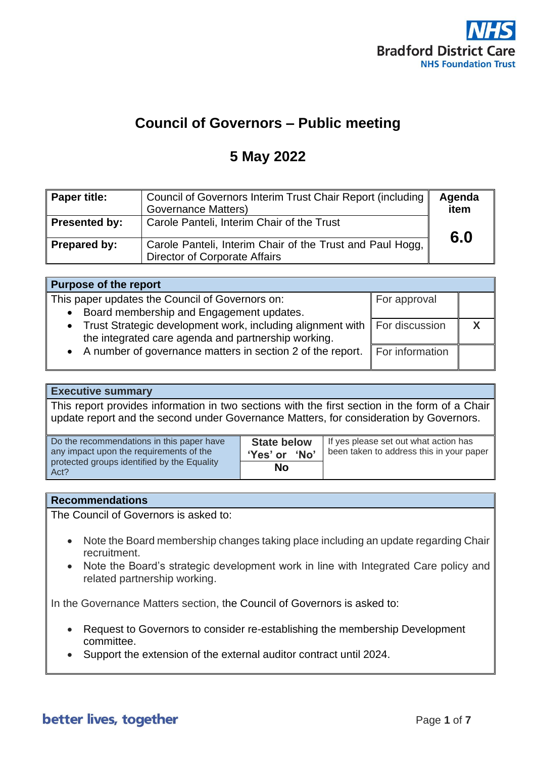

# **Council of Governors – Public meeting**

# **5 May 2022**

| Paper title:  | Council of Governors Interim Trust Chair Report (including<br><b>Governance Matters)</b>   | Agenda<br>item |
|---------------|--------------------------------------------------------------------------------------------|----------------|
| Presented by: | Carole Panteli, Interim Chair of the Trust                                                 | 6.0            |
| Prepared by:  | Carole Panteli, Interim Chair of the Trust and Paul Hogg,<br>Director of Corporate Affairs |                |

| <b>Purpose of the report</b>                                                                                                       |                 |  |  |
|------------------------------------------------------------------------------------------------------------------------------------|-----------------|--|--|
| This paper updates the Council of Governors on:<br>For approval                                                                    |                 |  |  |
| • Board membership and Engagement updates.                                                                                         |                 |  |  |
| • Trust Strategic development work, including alignment with For discussion<br>the integrated care agenda and partnership working. |                 |  |  |
| • A number of governance matters in section 2 of the report.                                                                       | For information |  |  |

#### **Executive summary**

This report provides information in two sections with the first section in the form of a Chair update report and the second under Governance Matters, for consideration by Governors.

| Do the recommendations in this paper have<br>any impact upon the requirements of the<br>protected groups identified by the Equality<br>Act? | <b>State below</b><br>'Yes' or 'No' | If yes please set out what action has<br>been taken to address this in your paper |
|---------------------------------------------------------------------------------------------------------------------------------------------|-------------------------------------|-----------------------------------------------------------------------------------|
|                                                                                                                                             | <b>No</b>                           |                                                                                   |

#### **Recommendations**

The Council of Governors is asked to:

- Note the Board membership changes taking place including an update regarding Chair recruitment.
- Note the Board's strategic development work in line with Integrated Care policy and related partnership working.

In the Governance Matters section, the Council of Governors is asked to:

- Request to Governors to consider re-establishing the membership Development committee.
- Support the extension of the external auditor contract until 2024.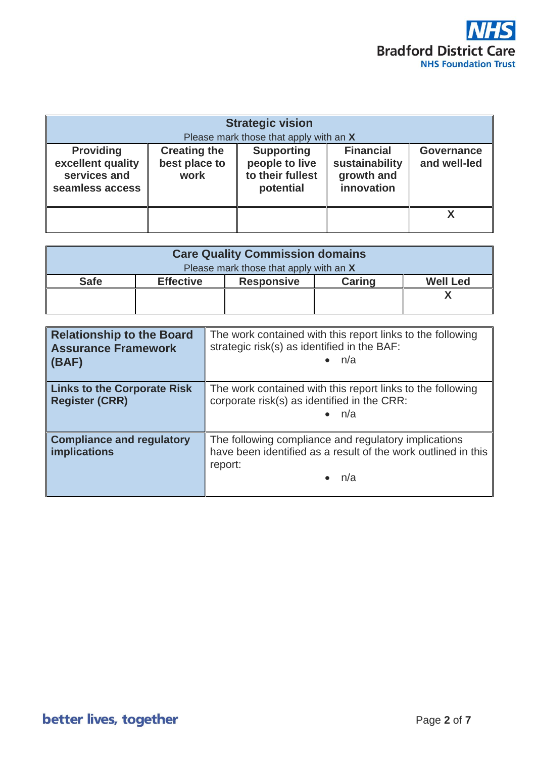

| <b>Strategic vision</b><br>Please mark those that apply with an X        |                                              |                                                                      |                                                                |                                   |
|--------------------------------------------------------------------------|----------------------------------------------|----------------------------------------------------------------------|----------------------------------------------------------------|-----------------------------------|
| <b>Providing</b><br>excellent quality<br>services and<br>seamless access | <b>Creating the</b><br>best place to<br>work | <b>Supporting</b><br>people to live<br>to their fullest<br>potential | <b>Financial</b><br>sustainability<br>growth and<br>innovation | <b>Governance</b><br>and well-led |
|                                                                          |                                              |                                                                      |                                                                |                                   |

| <b>Care Quality Commission domains</b> |                  |                   |        |                 |
|----------------------------------------|------------------|-------------------|--------|-----------------|
| Please mark those that apply with an X |                  |                   |        |                 |
| <b>Safe</b>                            | <b>Effective</b> | <b>Responsive</b> | Caring | <b>Well Led</b> |
|                                        |                  |                   |        |                 |
|                                        |                  |                   |        |                 |

| <b>Relationship to the Board</b><br><b>Assurance Framework</b><br>(BAF) | The work contained with this report links to the following<br>strategic risk(s) as identified in the BAF:<br>$\bullet$ n/a                 |
|-------------------------------------------------------------------------|--------------------------------------------------------------------------------------------------------------------------------------------|
| <b>Links to the Corporate Risk</b><br><b>Register (CRR)</b>             | The work contained with this report links to the following<br>corporate risk(s) as identified in the CRR:<br>n/a                           |
| <b>Compliance and regulatory</b><br>implications                        | The following compliance and regulatory implications<br>have been identified as a result of the work outlined in this   <br>report:<br>n/a |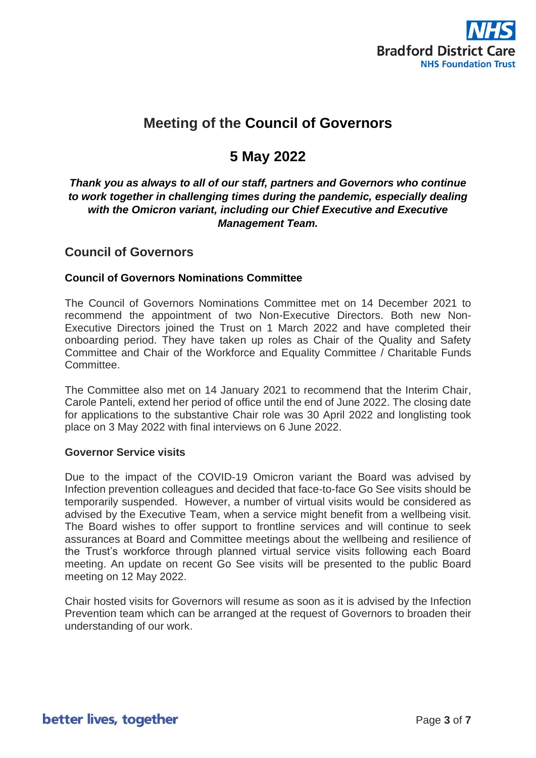

# **Meeting of the Council of Governors**

# **5 May 2022**

## *Thank you as always to all of our staff, partners and Governors who continue to work together in challenging times during the pandemic, especially dealing with the Omicron variant, including our Chief Executive and Executive Management Team.*

## **Council of Governors**

### **Council of Governors Nominations Committee**

The Council of Governors Nominations Committee met on 14 December 2021 to recommend the appointment of two Non-Executive Directors. Both new Non-Executive Directors joined the Trust on 1 March 2022 and have completed their onboarding period. They have taken up roles as Chair of the Quality and Safety Committee and Chair of the Workforce and Equality Committee / Charitable Funds Committee.

The Committee also met on 14 January 2021 to recommend that the Interim Chair, Carole Panteli, extend her period of office until the end of June 2022. The closing date for applications to the substantive Chair role was 30 April 2022 and longlisting took place on 3 May 2022 with final interviews on 6 June 2022.

#### **Governor Service visits**

Due to the impact of the COVID-19 Omicron variant the Board was advised by Infection prevention colleagues and decided that face-to-face Go See visits should be temporarily suspended. However, a number of virtual visits would be considered as advised by the Executive Team, when a service might benefit from a wellbeing visit. The Board wishes to offer support to frontline services and will continue to seek assurances at Board and Committee meetings about the wellbeing and resilience of the Trust's workforce through planned virtual service visits following each Board meeting. An update on recent Go See visits will be presented to the public Board meeting on 12 May 2022.

Chair hosted visits for Governors will resume as soon as it is advised by the Infection Prevention team which can be arranged at the request of Governors to broaden their understanding of our work.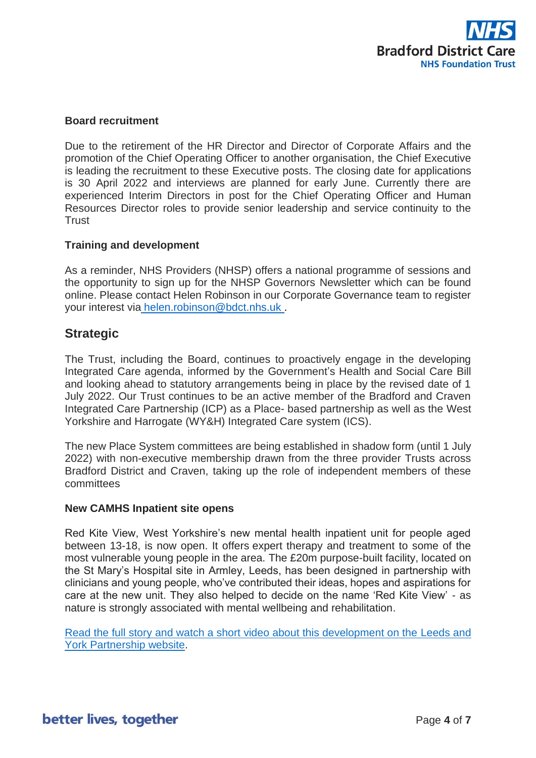

#### **Board recruitment**

Due to the retirement of the HR Director and Director of Corporate Affairs and the promotion of the Chief Operating Officer to another organisation, the Chief Executive is leading the recruitment to these Executive posts. The closing date for applications is 30 April 2022 and interviews are planned for early June. Currently there are experienced Interim Directors in post for the Chief Operating Officer and Human Resources Director roles to provide senior leadership and service continuity to the **Trust** 

#### **Training and development**

As a reminder, NHS Providers (NHSP) offers a national programme of sessions and the opportunity to sign up for the NHSP Governors Newsletter which can be found online. Please contact Helen Robinson in our Corporate Governance team to register your interest via [helen.robinson@bdct.nhs.uk](mailto:%20helen.robinson@bdct.nhs.uk) .

## **Strategic**

The Trust, including the Board, continues to proactively engage in the developing Integrated Care agenda, informed by the Government's Health and Social Care Bill and looking ahead to statutory arrangements being in place by the revised date of 1 July 2022. Our Trust continues to be an active member of the Bradford and Craven Integrated Care Partnership (ICP) as a Place- based partnership as well as the West Yorkshire and Harrogate (WY&H) Integrated Care system (ICS).

The new Place System committees are being established in shadow form (until 1 July 2022) with non-executive membership drawn from the three provider Trusts across Bradford District and Craven, taking up the role of independent members of these committees

#### **New CAMHS Inpatient site opens**

Red Kite View, West Yorkshire's new mental health inpatient unit for people aged between 13-18, is now open. It offers expert therapy and treatment to some of the most vulnerable young people in the area. The £20m purpose-built facility, located on the St Mary's Hospital site in Armley, Leeds, has been designed in partnership with clinicians and young people, who've contributed their ideas, hopes and aspirations for care at the new unit. They also helped to decide on the name 'Red Kite View' - as nature is strongly associated with mental wellbeing and rehabilitation.

[Read the full story and watch a short video about this development on the](https://www.leedsandyorkpft.nhs.uk/news/articles/red-kite-view-opens-doors/) Leeds and [York Partnership](https://www.leedsandyorkpft.nhs.uk/news/articles/red-kite-view-opens-doors/) website.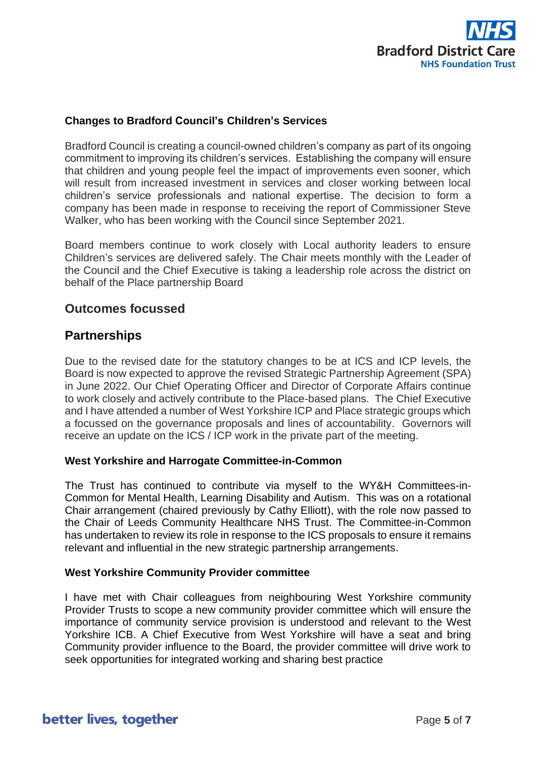

### **Changes to Bradford Council's Children's Services**

Bradford Council is creating a council-owned children's company as part of its ongoing commitment to improving its children's services. Establishing the company will ensure that children and young people feel the impact of improvements even sooner, which will result from increased investment in services and closer working between local children's service professionals and national expertise. The decision to form a company has been made in response to receiving the report of Commissioner Steve Walker, who has been working with the Council since September 2021.

Board members continue to work closely with Local authority leaders to ensure Children's services are delivered safely. The Chair meets monthly with the Leader of the Council and the Chief Executive is taking a leadership role across the district on behalf of the Place partnership Board

## **Outcomes focussed**

## **Partnerships**

Due to the revised date for the statutory changes to be at ICS and ICP levels, the Board is now expected to approve the revised Strategic Partnership Agreement (SPA) in June 2022. Our Chief Operating Officer and Director of Corporate Affairs continue to work closely and actively contribute to the Place-based plans. The Chief Executive and I have attended a number of West Yorkshire ICP and Place strategic groups which a focussed on the governance proposals and lines of accountability. Governors will receive an update on the ICS / ICP work in the private part of the meeting.

### **West Yorkshire and Harrogate Committee-in-Common**

The Trust has continued to contribute via myself to the WY&H Committees-in-Common for Mental Health, Learning Disability and Autism. This was on a rotational Chair arrangement (chaired previously by Cathy Elliott), with the role now passed to the Chair of Leeds Community Healthcare NHS Trust. The Committee-in-Common has undertaken to review its role in response to the ICS proposals to ensure it remains relevant and influential in the new strategic partnership arrangements.

#### **West Yorkshire Community Provider committee**

I have met with Chair colleagues from neighbouring West Yorkshire community Provider Trusts to scope a new community provider committee which will ensure the importance of community service provision is understood and relevant to the West Yorkshire ICB. A Chief Executive from West Yorkshire will have a seat and bring Community provider influence to the Board, the provider committee will drive work to seek opportunities for integrated working and sharing best practice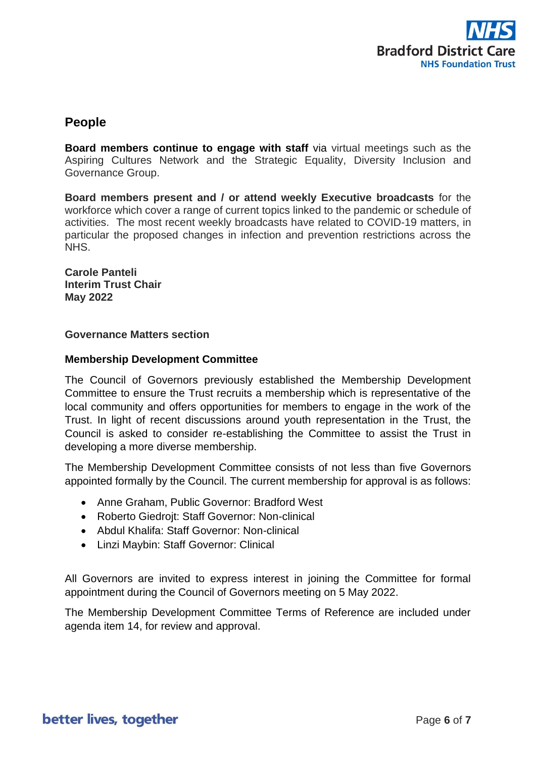

# **People**

**Board members continue to engage with staff** via virtual meetings such as the Aspiring Cultures Network and the Strategic Equality, Diversity Inclusion and Governance Group.

**Board members present and / or attend weekly Executive broadcasts** for the workforce which cover a range of current topics linked to the pandemic or schedule of activities. The most recent weekly broadcasts have related to COVID-19 matters, in particular the proposed changes in infection and prevention restrictions across the NHS.

**Carole Panteli Interim Trust Chair May 2022**

### **Governance Matters section**

#### **Membership Development Committee**

The Council of Governors previously established the Membership Development Committee to ensure the Trust recruits a membership which is representative of the local community and offers opportunities for members to engage in the work of the Trust. In light of recent discussions around youth representation in the Trust, the Council is asked to consider re-establishing the Committee to assist the Trust in developing a more diverse membership.

The Membership Development Committee consists of not less than five Governors appointed formally by the Council. The current membership for approval is as follows:

- Anne Graham, Public Governor: Bradford West
- Roberto Giedrojt: Staff Governor: Non-clinical
- Abdul Khalifa: Staff Governor: Non-clinical
- Linzi Maybin: Staff Governor: Clinical

All Governors are invited to express interest in joining the Committee for formal appointment during the Council of Governors meeting on 5 May 2022.

The Membership Development Committee Terms of Reference are included under agenda item 14, for review and approval.